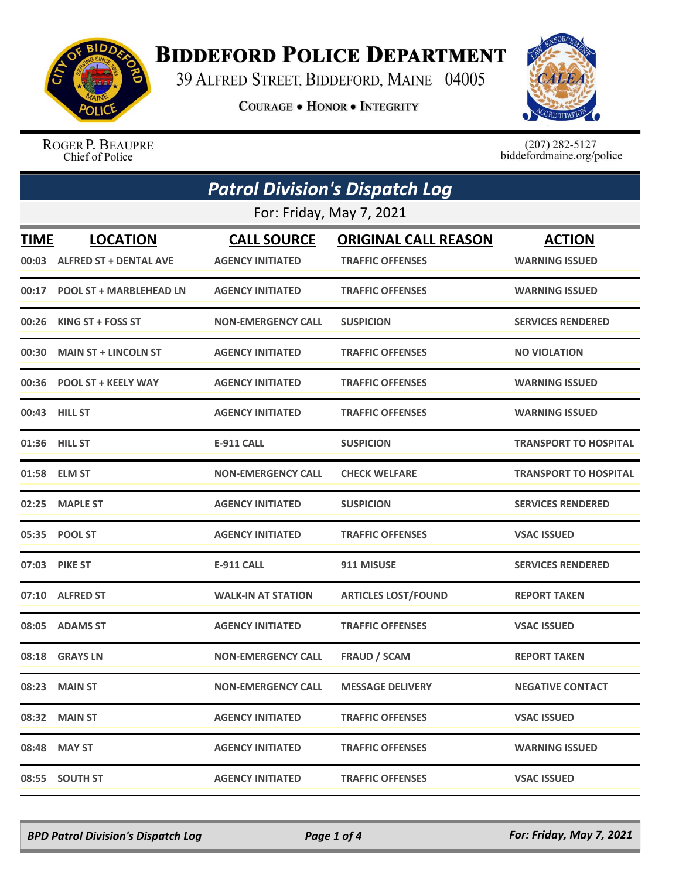

## **BIDDEFORD POLICE DEPARTMENT**

39 ALFRED STREET, BIDDEFORD, MAINE 04005

**COURAGE . HONOR . INTEGRITY** 



ROGER P. BEAUPRE Chief of Police

 $(207)$  282-5127<br>biddefordmaine.org/police

|                          | <b>Patrol Division's Dispatch Log</b> |                           |                             |                              |  |
|--------------------------|---------------------------------------|---------------------------|-----------------------------|------------------------------|--|
| For: Friday, May 7, 2021 |                                       |                           |                             |                              |  |
| <b>TIME</b>              | <b>LOCATION</b>                       | <b>CALL SOURCE</b>        | <b>ORIGINAL CALL REASON</b> | <b>ACTION</b>                |  |
|                          | 00:03 ALFRED ST + DENTAL AVE          | <b>AGENCY INITIATED</b>   | <b>TRAFFIC OFFENSES</b>     | <b>WARNING ISSUED</b>        |  |
|                          | 00:17 POOL ST + MARBLEHEAD LN         | <b>AGENCY INITIATED</b>   | <b>TRAFFIC OFFENSES</b>     | <b>WARNING ISSUED</b>        |  |
| 00:26                    | KING ST + FOSS ST                     | <b>NON-EMERGENCY CALL</b> | <b>SUSPICION</b>            | <b>SERVICES RENDERED</b>     |  |
|                          | 00:30 MAIN ST + LINCOLN ST            | <b>AGENCY INITIATED</b>   | <b>TRAFFIC OFFENSES</b>     | <b>NO VIOLATION</b>          |  |
|                          | 00:36 POOL ST + KEELY WAY             | <b>AGENCY INITIATED</b>   | <b>TRAFFIC OFFENSES</b>     | <b>WARNING ISSUED</b>        |  |
|                          | 00:43 HILL ST                         | <b>AGENCY INITIATED</b>   | <b>TRAFFIC OFFENSES</b>     | <b>WARNING ISSUED</b>        |  |
|                          | 01:36 HILL ST                         | <b>E-911 CALL</b>         | <b>SUSPICION</b>            | <b>TRANSPORT TO HOSPITAL</b> |  |
|                          | 01:58 ELM ST                          | <b>NON-EMERGENCY CALL</b> | <b>CHECK WELFARE</b>        | <b>TRANSPORT TO HOSPITAL</b> |  |
| 02:25                    | <b>MAPLE ST</b>                       | <b>AGENCY INITIATED</b>   | <b>SUSPICION</b>            | <b>SERVICES RENDERED</b>     |  |
|                          | 05:35 POOL ST                         | <b>AGENCY INITIATED</b>   | <b>TRAFFIC OFFENSES</b>     | <b>VSAC ISSUED</b>           |  |
|                          | 07:03 PIKE ST                         | E-911 CALL                | 911 MISUSE                  | <b>SERVICES RENDERED</b>     |  |
| 07:10                    | <b>ALFRED ST</b>                      | <b>WALK-IN AT STATION</b> | <b>ARTICLES LOST/FOUND</b>  | <b>REPORT TAKEN</b>          |  |
|                          | 08:05 ADAMS ST                        | <b>AGENCY INITIATED</b>   | <b>TRAFFIC OFFENSES</b>     | <b>VSAC ISSUED</b>           |  |
|                          | 08:18 GRAYS LN                        | <b>NON-EMERGENCY CALL</b> | <b>FRAUD / SCAM</b>         | <b>REPORT TAKEN</b>          |  |
|                          | 08:23 MAIN ST                         | <b>NON-EMERGENCY CALL</b> | <b>MESSAGE DELIVERY</b>     | <b>NEGATIVE CONTACT</b>      |  |
|                          | 08:32 MAIN ST                         | <b>AGENCY INITIATED</b>   | <b>TRAFFIC OFFENSES</b>     | <b>VSAC ISSUED</b>           |  |
|                          | 08:48 MAY ST                          | <b>AGENCY INITIATED</b>   | <b>TRAFFIC OFFENSES</b>     | <b>WARNING ISSUED</b>        |  |
|                          | 08:55 SOUTH ST                        | <b>AGENCY INITIATED</b>   | <b>TRAFFIC OFFENSES</b>     | <b>VSAC ISSUED</b>           |  |

*BPD Patrol Division's Dispatch Log Page 1 of 4 For: Friday, May 7, 2021*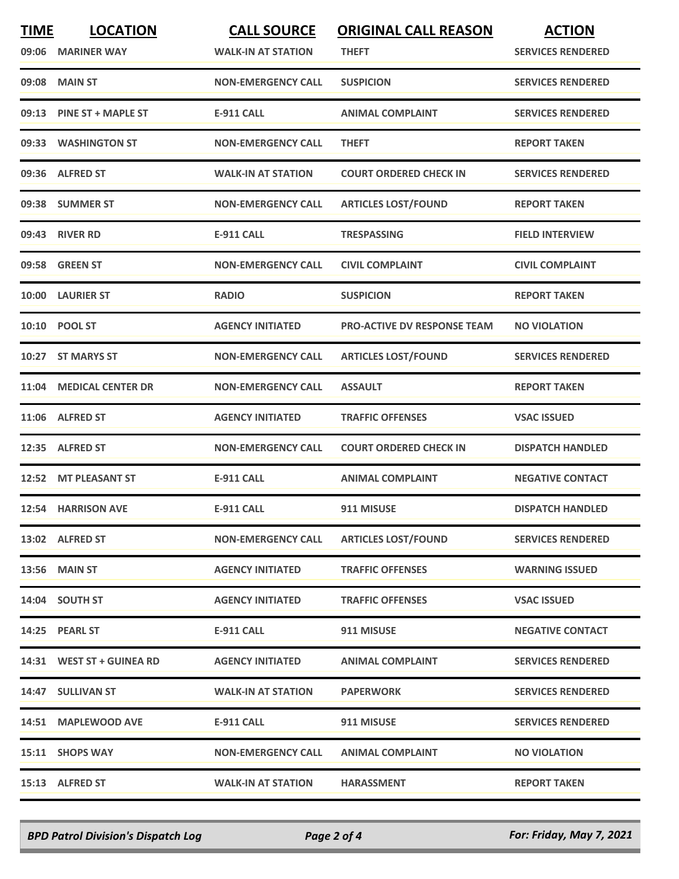| <b>TIME</b><br>09:06 | <b>LOCATION</b><br><b>MARINER WAY</b> | <b>CALL SOURCE</b><br><b>WALK-IN AT STATION</b> | <b>ORIGINAL CALL REASON</b><br><b>THEFT</b> | <b>ACTION</b><br><b>SERVICES RENDERED</b> |
|----------------------|---------------------------------------|-------------------------------------------------|---------------------------------------------|-------------------------------------------|
| 09:08                | <b>MAIN ST</b>                        | <b>NON-EMERGENCY CALL</b>                       | <b>SUSPICION</b>                            | <b>SERVICES RENDERED</b>                  |
|                      | 09:13 PINE ST + MAPLE ST              | <b>E-911 CALL</b>                               | <b>ANIMAL COMPLAINT</b>                     | <b>SERVICES RENDERED</b>                  |
|                      | 09:33 WASHINGTON ST                   | <b>NON-EMERGENCY CALL</b>                       | <b>THEFT</b>                                | <b>REPORT TAKEN</b>                       |
|                      | 09:36 ALFRED ST                       | <b>WALK-IN AT STATION</b>                       | <b>COURT ORDERED CHECK IN</b>               | <b>SERVICES RENDERED</b>                  |
|                      | 09:38 SUMMER ST                       | <b>NON-EMERGENCY CALL</b>                       | <b>ARTICLES LOST/FOUND</b>                  | <b>REPORT TAKEN</b>                       |
|                      | 09:43 RIVER RD                        | <b>E-911 CALL</b>                               | <b>TRESPASSING</b>                          | <b>FIELD INTERVIEW</b>                    |
|                      | 09:58 GREEN ST                        | <b>NON-EMERGENCY CALL</b>                       | <b>CIVIL COMPLAINT</b>                      | <b>CIVIL COMPLAINT</b>                    |
| 10:00                | <b>LAURIER ST</b>                     | <b>RADIO</b>                                    | <b>SUSPICION</b>                            | <b>REPORT TAKEN</b>                       |
|                      | 10:10 POOL ST                         | <b>AGENCY INITIATED</b>                         | <b>PRO-ACTIVE DV RESPONSE TEAM</b>          | <b>NO VIOLATION</b>                       |
|                      | 10:27 ST MARYS ST                     | <b>NON-EMERGENCY CALL</b>                       | <b>ARTICLES LOST/FOUND</b>                  | <b>SERVICES RENDERED</b>                  |
|                      | 11:04 MEDICAL CENTER DR               | <b>NON-EMERGENCY CALL</b>                       | <b>ASSAULT</b>                              | <b>REPORT TAKEN</b>                       |
|                      | 11:06 ALFRED ST                       | <b>AGENCY INITIATED</b>                         | <b>TRAFFIC OFFENSES</b>                     | <b>VSAC ISSUED</b>                        |
| 12:35                | <b>ALFRED ST</b>                      | <b>NON-EMERGENCY CALL</b>                       | <b>COURT ORDERED CHECK IN</b>               | <b>DISPATCH HANDLED</b>                   |
|                      | 12:52 MT PLEASANT ST                  | <b>E-911 CALL</b>                               | <b>ANIMAL COMPLAINT</b>                     | <b>NEGATIVE CONTACT</b>                   |
|                      | 12:54 HARRISON AVE                    | <b>E-911 CALL</b>                               | 911 MISUSE                                  | <b>DISPATCH HANDLED</b>                   |
|                      | 13:02 ALFRED ST                       | <b>NON-EMERGENCY CALL</b>                       | <b>ARTICLES LOST/FOUND</b>                  | <b>SERVICES RENDERED</b>                  |
|                      | <b>13:56 MAIN ST</b>                  | <b>AGENCY INITIATED</b>                         | <b>TRAFFIC OFFENSES</b>                     | <b>WARNING ISSUED</b>                     |
|                      | 14:04 SOUTH ST                        | <b>AGENCY INITIATED</b>                         | <b>TRAFFIC OFFENSES</b>                     | <b>VSAC ISSUED</b>                        |
|                      | 14:25 PEARL ST                        | E-911 CALL                                      | 911 MISUSE                                  | <b>NEGATIVE CONTACT</b>                   |
|                      | 14:31 WEST ST + GUINEA RD             | <b>AGENCY INITIATED</b>                         | <b>ANIMAL COMPLAINT</b>                     | <b>SERVICES RENDERED</b>                  |
|                      | 14:47 SULLIVAN ST                     | <b>WALK-IN AT STATION</b>                       | <b>PAPERWORK</b>                            | <b>SERVICES RENDERED</b>                  |
|                      | 14:51 MAPLEWOOD AVE                   | E-911 CALL                                      | 911 MISUSE                                  | <b>SERVICES RENDERED</b>                  |
|                      | 15:11 SHOPS WAY                       | <b>NON-EMERGENCY CALL</b>                       | <b>ANIMAL COMPLAINT</b>                     | <b>NO VIOLATION</b>                       |
|                      | 15:13 ALFRED ST                       | <b>WALK-IN AT STATION</b>                       | <b>HARASSMENT</b>                           | <b>REPORT TAKEN</b>                       |

*BPD Patrol Division's Dispatch Log Page 2 of 4 For: Friday, May 7, 2021*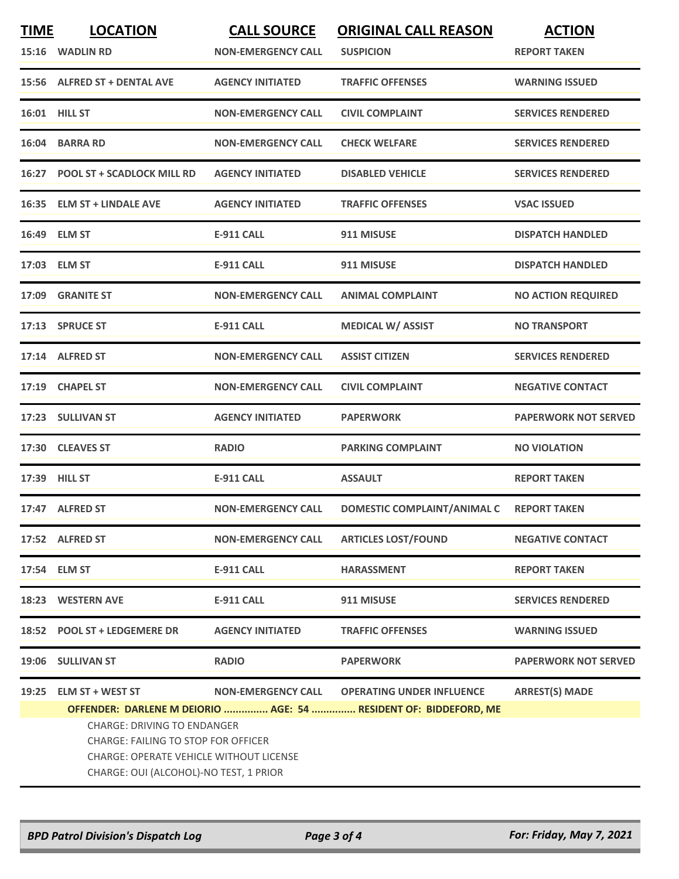| <b>TIME</b><br>15:16 | <b>LOCATION</b><br><b>WADLIN RD</b>                                                                                                                                          | <b>CALL SOURCE</b><br><b>NON-EMERGENCY CALL</b> | <b>ORIGINAL CALL REASON</b><br><b>SUSPICION</b>                                                      | <b>ACTION</b><br><b>REPORT TAKEN</b> |
|----------------------|------------------------------------------------------------------------------------------------------------------------------------------------------------------------------|-------------------------------------------------|------------------------------------------------------------------------------------------------------|--------------------------------------|
|                      | 15:56 ALFRED ST + DENTAL AVE                                                                                                                                                 | <b>AGENCY INITIATED</b>                         | <b>TRAFFIC OFFENSES</b>                                                                              | <b>WARNING ISSUED</b>                |
|                      | 16:01 HILL ST                                                                                                                                                                | <b>NON-EMERGENCY CALL</b>                       | <b>CIVIL COMPLAINT</b>                                                                               | <b>SERVICES RENDERED</b>             |
| 16:04                | <b>BARRA RD</b>                                                                                                                                                              | <b>NON-EMERGENCY CALL</b>                       | <b>CHECK WELFARE</b>                                                                                 | <b>SERVICES RENDERED</b>             |
|                      | 16:27 POOL ST + SCADLOCK MILL RD                                                                                                                                             | <b>AGENCY INITIATED</b>                         | <b>DISABLED VEHICLE</b>                                                                              | <b>SERVICES RENDERED</b>             |
|                      | 16:35 ELM ST + LINDALE AVE                                                                                                                                                   | <b>AGENCY INITIATED</b>                         | <b>TRAFFIC OFFENSES</b>                                                                              | <b>VSAC ISSUED</b>                   |
|                      | 16:49 ELM ST                                                                                                                                                                 | <b>E-911 CALL</b>                               | 911 MISUSE                                                                                           | <b>DISPATCH HANDLED</b>              |
|                      | 17:03 ELM ST                                                                                                                                                                 | <b>E-911 CALL</b>                               | 911 MISUSE                                                                                           | <b>DISPATCH HANDLED</b>              |
|                      | 17:09 GRANITE ST                                                                                                                                                             | <b>NON-EMERGENCY CALL</b>                       | <b>ANIMAL COMPLAINT</b>                                                                              | <b>NO ACTION REQUIRED</b>            |
|                      | 17:13 SPRUCE ST                                                                                                                                                              | E-911 CALL                                      | <b>MEDICAL W/ ASSIST</b>                                                                             | <b>NO TRANSPORT</b>                  |
|                      | 17:14 ALFRED ST                                                                                                                                                              | <b>NON-EMERGENCY CALL</b>                       | <b>ASSIST CITIZEN</b>                                                                                | <b>SERVICES RENDERED</b>             |
|                      | 17:19 CHAPEL ST                                                                                                                                                              | <b>NON-EMERGENCY CALL</b>                       | <b>CIVIL COMPLAINT</b>                                                                               | <b>NEGATIVE CONTACT</b>              |
|                      | 17:23 SULLIVAN ST                                                                                                                                                            | <b>AGENCY INITIATED</b>                         | <b>PAPERWORK</b>                                                                                     | <b>PAPERWORK NOT SERVED</b>          |
| 17:30                | <b>CLEAVES ST</b>                                                                                                                                                            | <b>RADIO</b>                                    | <b>PARKING COMPLAINT</b>                                                                             | <b>NO VIOLATION</b>                  |
|                      | 17:39 HILL ST                                                                                                                                                                | <b>E-911 CALL</b>                               | <b>ASSAULT</b>                                                                                       | <b>REPORT TAKEN</b>                  |
|                      | 17:47 ALFRED ST                                                                                                                                                              | <b>NON-EMERGENCY CALL</b>                       | DOMESTIC COMPLAINT/ANIMAL C                                                                          | <b>REPORT TAKEN</b>                  |
|                      | 17:52 ALFRED ST                                                                                                                                                              | <b>NON-EMERGENCY CALL</b>                       | <b>ARTICLES LOST/FOUND</b>                                                                           | <b>NEGATIVE CONTACT</b>              |
|                      | 17:54 ELM ST                                                                                                                                                                 | <b>E-911 CALL</b>                               | <b>HARASSMENT</b>                                                                                    | <b>REPORT TAKEN</b>                  |
|                      | 18:23 WESTERN AVE                                                                                                                                                            | <b>E-911 CALL</b>                               | 911 MISUSE                                                                                           | <b>SERVICES RENDERED</b>             |
|                      | 18:52 POOL ST + LEDGEMERE DR                                                                                                                                                 | <b>AGENCY INITIATED</b>                         | <b>TRAFFIC OFFENSES</b>                                                                              | <b>WARNING ISSUED</b>                |
|                      | 19:06 SULLIVAN ST                                                                                                                                                            | <b>RADIO</b>                                    | <b>PAPERWORK</b>                                                                                     | <b>PAPERWORK NOT SERVED</b>          |
| 19:25                | <b>ELM ST + WEST ST</b>                                                                                                                                                      | <b>NON-EMERGENCY CALL</b>                       | <b>OPERATING UNDER INFLUENCE</b><br>OFFENDER: DARLENE M DEIORIO  AGE: 54  RESIDENT OF: BIDDEFORD, ME | <b>ARREST(S) MADE</b>                |
|                      | <b>CHARGE: DRIVING TO ENDANGER</b><br><b>CHARGE: FAILING TO STOP FOR OFFICER</b><br><b>CHARGE: OPERATE VEHICLE WITHOUT LICENSE</b><br>CHARGE: OUI (ALCOHOL)-NO TEST, 1 PRIOR |                                                 |                                                                                                      |                                      |